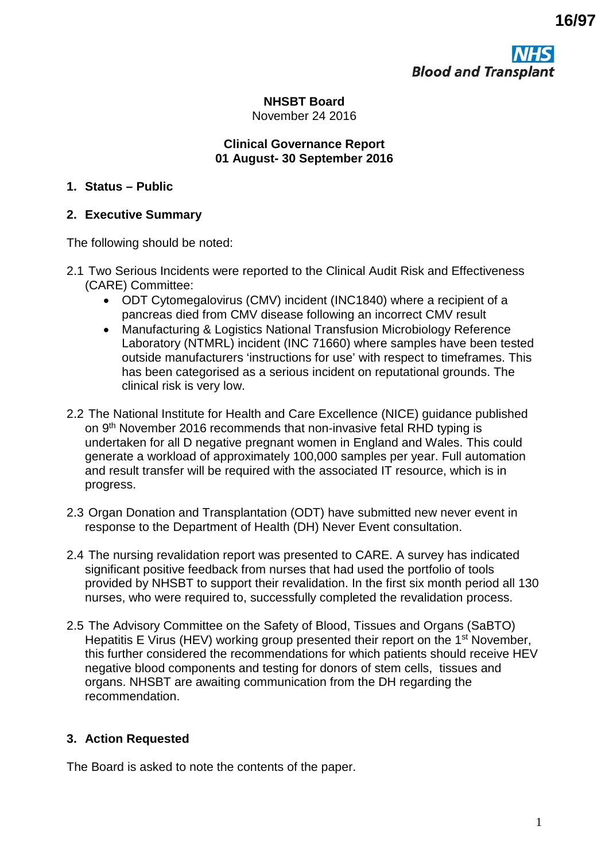**Blood and Transplant** 

**NHSBT Board** November 24 2016

#### **Clinical Governance Report 01 August- 30 September 2016**

### **1. Status – Public**

### **2. Executive Summary**

The following should be noted:

- 2.1 Two Serious Incidents were reported to the Clinical Audit Risk and Effectiveness (CARE) Committee:
	- ODT Cytomegalovirus (CMV) incident (INC1840) where a recipient of a pancreas died from CMV disease following an incorrect CMV result
	- Manufacturing & Logistics National Transfusion Microbiology Reference Laboratory (NTMRL) incident (INC 71660) where samples have been tested outside manufacturers 'instructions for use' with respect to timeframes. This has been categorised as a serious incident on reputational grounds. The clinical risk is very low.
- 2.2 The National Institute for Health and Care Excellence (NICE) guidance published on 9<sup>th</sup> November 2016 recommends that non-invasive fetal RHD typing is undertaken for all D negative pregnant women in England and Wales. This could generate a workload of approximately 100,000 samples per year. Full automation and result transfer will be required with the associated IT resource, which is in progress.
- 2.3 Organ Donation and Transplantation (ODT) have submitted new never event in response to the Department of Health (DH) Never Event consultation.
- 2.4 The nursing revalidation report was presented to CARE. A survey has indicated significant positive feedback from nurses that had used the portfolio of tools provided by NHSBT to support their revalidation. In the first six month period all 130 nurses, who were required to, successfully completed the revalidation process.
- 2.5 The Advisory Committee on the Safety of Blood, Tissues and Organs (SaBTO) Hepatitis E Virus (HEV) working group presented their report on the 1<sup>st</sup> November, this further considered the recommendations for which patients should receive HEV negative blood components and testing for donors of stem cells, tissues and organs. NHSBT are awaiting communication from the DH regarding the recommendation.

## **3. Action Requested**

The Board is asked to note the contents of the paper.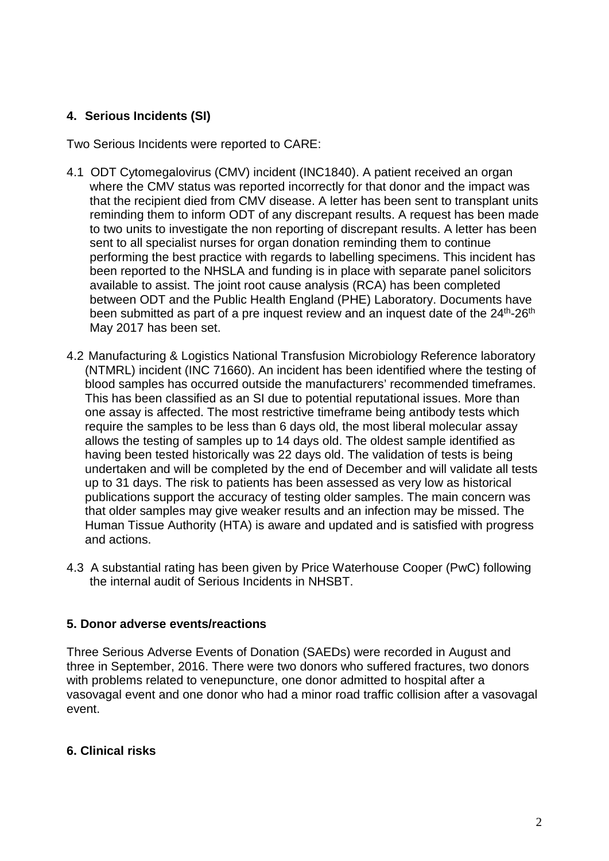## **4. Serious Incidents (SI)**

Two Serious Incidents were reported to CARE:

- 4.1 ODT Cytomegalovirus (CMV) incident (INC1840). A patient received an organ where the CMV status was reported incorrectly for that donor and the impact was that the recipient died from CMV disease. A letter has been sent to transplant units reminding them to inform ODT of any discrepant results. A request has been made to two units to investigate the non reporting of discrepant results. A letter has been sent to all specialist nurses for organ donation reminding them to continue performing the best practice with regards to labelling specimens. This incident has been reported to the NHSLA and funding is in place with separate panel solicitors available to assist. The joint root cause analysis (RCA) has been completed between ODT and the Public Health England (PHE) Laboratory. Documents have been submitted as part of a pre inquest review and an inquest date of the 24<sup>th</sup>-26<sup>th</sup> May 2017 has been set.
- 4.2 Manufacturing & Logistics National Transfusion Microbiology Reference laboratory (NTMRL) incident (INC 71660). An incident has been identified where the testing of blood samples has occurred outside the manufacturers' recommended timeframes. This has been classified as an SI due to potential reputational issues. More than one assay is affected. The most restrictive timeframe being antibody tests which require the samples to be less than 6 days old, the most liberal molecular assay allows the testing of samples up to 14 days old. The oldest sample identified as having been tested historically was 22 days old. The validation of tests is being undertaken and will be completed by the end of December and will validate all tests up to 31 days. The risk to patients has been assessed as very low as historical publications support the accuracy of testing older samples. The main concern was that older samples may give weaker results and an infection may be missed. The Human Tissue Authority (HTA) is aware and updated and is satisfied with progress and actions.
- 4.3 A substantial rating has been given by Price Waterhouse Cooper (PwC) following the internal audit of Serious Incidents in NHSBT.

### **5. Donor adverse events/reactions**

Three Serious Adverse Events of Donation (SAEDs) were recorded in August and three in September, 2016. There were two donors who suffered fractures, two donors with problems related to venepuncture, one donor admitted to hospital after a vasovagal event and one donor who had a minor road traffic collision after a vasovagal event.

### **6. Clinical risks**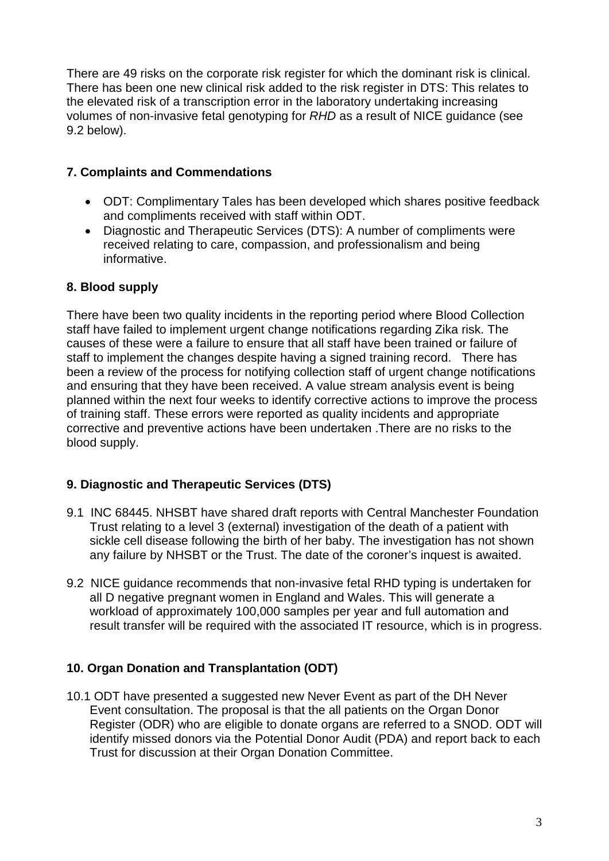There are 49 risks on the corporate risk register for which the dominant risk is clinical. There has been one new clinical risk added to the risk register in DTS: This relates to the elevated risk of a transcription error in the laboratory undertaking increasing volumes of non-invasive fetal genotyping for *RHD* as a result of NICE guidance (see 9.2 below).

# **7. Complaints and Commendations**

- ODT: Complimentary Tales has been developed which shares positive feedback and compliments received with staff within ODT.
- Diagnostic and Therapeutic Services (DTS): A number of compliments were received relating to care, compassion, and professionalism and being informative.

## **8. Blood supply**

There have been two quality incidents in the reporting period where Blood Collection staff have failed to implement urgent change notifications regarding Zika risk. The causes of these were a failure to ensure that all staff have been trained or failure of staff to implement the changes despite having a signed training record. There has been a review of the process for notifying collection staff of urgent change notifications and ensuring that they have been received. A value stream analysis event is being planned within the next four weeks to identify corrective actions to improve the process of training staff. These errors were reported as quality incidents and appropriate corrective and preventive actions have been undertaken .There are no risks to the blood supply.

## **9. Diagnostic and Therapeutic Services (DTS)**

- 9.1 INC 68445. NHSBT have shared draft reports with Central Manchester Foundation Trust relating to a level 3 (external) investigation of the death of a patient with sickle cell disease following the birth of her baby. The investigation has not shown any failure by NHSBT or the Trust. The date of the coroner's inquest is awaited.
- 9.2 NICE guidance recommends that non-invasive fetal RHD typing is undertaken for all D negative pregnant women in England and Wales. This will generate a workload of approximately 100,000 samples per year and full automation and result transfer will be required with the associated IT resource, which is in progress.

# **10. Organ Donation and Transplantation (ODT)**

10.1 ODT have presented a suggested new Never Event as part of the DH Never Event consultation. The proposal is that the all patients on the Organ Donor Register (ODR) who are eligible to donate organs are referred to a SNOD. ODT will identify missed donors via the Potential Donor Audit (PDA) and report back to each Trust for discussion at their Organ Donation Committee.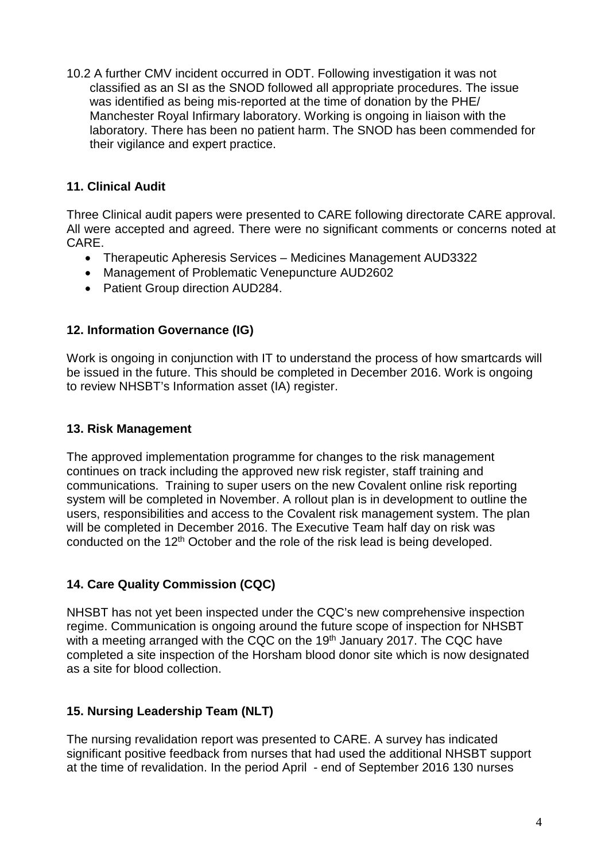10.2 A further CMV incident occurred in ODT. Following investigation it was not classified as an SI as the SNOD followed all appropriate procedures. The issue was identified as being mis-reported at the time of donation by the PHE/ Manchester Royal Infirmary laboratory. Working is ongoing in liaison with the laboratory. There has been no patient harm. The SNOD has been commended for their vigilance and expert practice.

# **11. Clinical Audit**

Three Clinical audit papers were presented to CARE following directorate CARE approval. All were accepted and agreed. There were no significant comments or concerns noted at CARE.

- Therapeutic Apheresis Services Medicines Management AUD3322
- Management of Problematic Venepuncture AUD2602
- Patient Group direction AUD284.

## **12. Information Governance (IG)**

Work is ongoing in conjunction with IT to understand the process of how smartcards will be issued in the future. This should be completed in December 2016. Work is ongoing to review NHSBT's Information asset (IA) register.

### **13. Risk Management**

The approved implementation programme for changes to the risk management continues on track including the approved new risk register, staff training and communications. Training to super users on the new Covalent online risk reporting system will be completed in November. A rollout plan is in development to outline the users, responsibilities and access to the Covalent risk management system. The plan will be completed in December 2016. The Executive Team half day on risk was conducted on the 12<sup>th</sup> October and the role of the risk lead is being developed.

## **14. Care Quality Commission (CQC)**

NHSBT has not yet been inspected under the CQC's new comprehensive inspection regime. Communication is ongoing around the future scope of inspection for NHSBT with a meeting arranged with the CQC on the 19<sup>th</sup> January 2017. The CQC have completed a site inspection of the Horsham blood donor site which is now designated as a site for blood collection.

## **15. Nursing Leadership Team (NLT)**

The nursing revalidation report was presented to CARE. A survey has indicated significant positive feedback from nurses that had used the additional NHSBT support at the time of revalidation. In the period April - end of September 2016 130 nurses